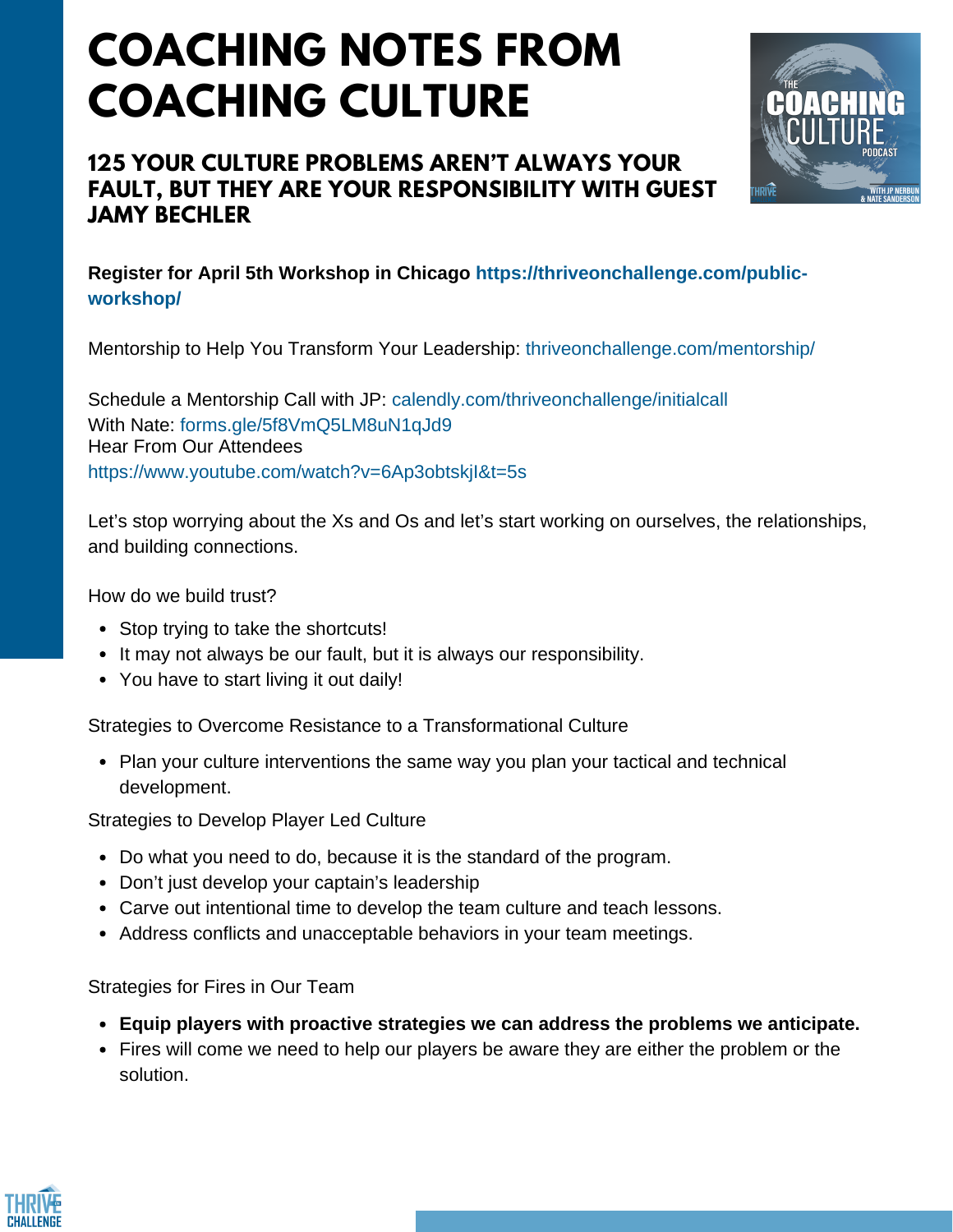## **COACHING NOTES FROM COACHING CULTURE**

## **125 YOUR CULTURE PROBLEMS AREN'T ALWAYS YOUR FAULT, BUT THEY ARE YOUR RESPONSIBILITY WITH GUEST JAMY BECHLER**



**Register for April 5th Workshop in Chicago https://thriveonchallenge.com/publicworkshop/**

Mentorship to Help You Transform Your Leadership: thriveonchallenge.com/mentorship/

Schedule a Mentorship Call with JP: calendly.com/thriveonchallenge/initialcall With Nate: forms.gle/5f8VmO5LM8uN1qJd9 Hear From Our Attendees https://www.youtube.com/watch?v=6Ap3obtskjI&t=5s

Let's stop worrying about the Xs and Os and let's start working on ourselves, the relationships, and building connections.

How do we build trust?

- Stop trying to take the shortcuts!
- It may not always be our fault, but it is always our responsibility.
- You have to start living it out daily!

Strategies to Overcome Resistance to a Transformational Culture

• Plan your culture interventions the same way you plan your tactical and technical development.

Strategies to Develop Player Led Culture

- Do what you need to do, because it is the standard of the program.
- Don't just develop your captain's leadership
- Carve out intentional time to develop the team culture and teach lessons.
- Address conflicts and unacceptable behaviors in your team meetings.

Strategies for Fires in Our Team

- **Equip players with proactive strategies we can address the problems we anticipate.**
- Fires will come we need to help our players be aware they are either the problem or the solution.